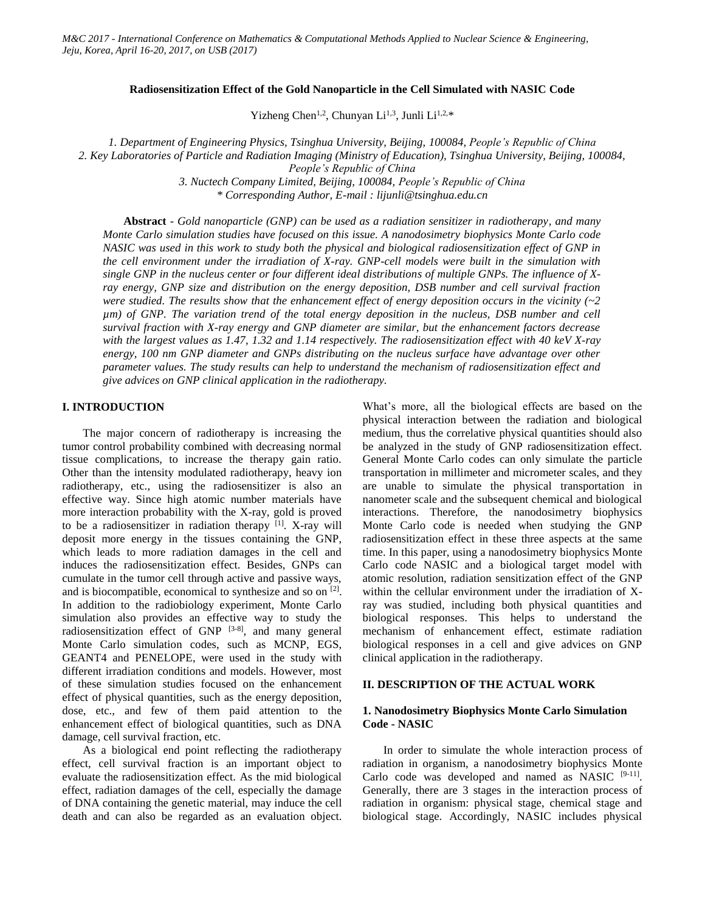### **Radiosensitization Effect of the Gold Nanoparticle in the Cell Simulated with NASIC Code**

Yizheng Chen<sup>1,2</sup>, Chunyan Li<sup>1,3</sup>, Junli Li<sup>1,2,\*</sup>

*1. Department of Engineering Physics, Tsinghua University, Beijing, 100084, People's Republic of China 2. Key Laboratories of Particle and Radiation Imaging (Ministry of Education), Tsinghua University, Beijing, 100084,* 

*People's Republic of China*

*3. Nuctech Company Limited, Beijing, 100084, People's Republic of China \* Corresponding Author, E-mail : lijunli@tsinghua.edu.cn*

**Abstract** *- Gold nanoparticle (GNP) can be used as a radiation sensitizer in radiotherapy, and many Monte Carlo simulation studies have focused on this issue. A nanodosimetry biophysics Monte Carlo code NASIC was used in this work to study both the physical and biological radiosensitization effect of GNP in the cell environment under the irradiation of X-ray. GNP-cell models were built in the simulation with single GNP in the nucleus center or four different ideal distributions of multiple GNPs. The influence of Xray energy, GNP size and distribution on the energy deposition, DSB number and cell survival fraction were studied. The results show that the enhancement effect of energy deposition occurs in the vicinity (~2 µm) of GNP. The variation trend of the total energy deposition in the nucleus, DSB number and cell survival fraction with X-ray energy and GNP diameter are similar, but the enhancement factors decrease with the largest values as 1.47, 1.32 and 1.14 respectively. The radiosensitization effect with 40 keV X-ray energy, 100 nm GNP diameter and GNPs distributing on the nucleus surface have advantage over other parameter values. The study results can help to understand the mechanism of radiosensitization effect and give advices on GNP clinical application in the radiotherapy.*

# **I. INTRODUCTION**

The major concern of radiotherapy is increasing the tumor control probability combined with decreasing normal tissue complications, to increase the therapy gain ratio. Other than the intensity modulated radiotherapy, heavy ion radiotherapy, etc., using the radiosensitizer is also an effective way. Since high atomic number materials have more interaction probability with the X-ray, gold is proved to be a radiosensitizer in radiation therapy  $[1]$ . X-ray will deposit more energy in the tissues containing the GNP, which leads to more radiation damages in the cell and induces the radiosensitization effect. Besides, GNPs can cumulate in the tumor cell through active and passive ways, and is biocompatible, economical to synthesize and so on  $[2]$ . In addition to the radiobiology experiment, Monte Carlo simulation also provides an effective way to study the radiosensitization effect of GNP  $[3-8]$ , and many general Monte Carlo simulation codes, such as MCNP, EGS, GEANT4 and PENELOPE, were used in the study with different irradiation conditions and models. However, most of these simulation studies focused on the enhancement effect of physical quantities, such as the energy deposition, dose, etc., and few of them paid attention to the enhancement effect of biological quantities, such as DNA damage, cell survival fraction, etc.

As a biological end point reflecting the radiotherapy effect, cell survival fraction is an important object to evaluate the radiosensitization effect. As the mid biological effect, radiation damages of the cell, especially the damage of DNA containing the genetic material, may induce the cell death and can also be regarded as an evaluation object. What's more, all the biological effects are based on the physical interaction between the radiation and biological medium, thus the correlative physical quantities should also be analyzed in the study of GNP radiosensitization effect. General Monte Carlo codes can only simulate the particle transportation in millimeter and micrometer scales, and they are unable to simulate the physical transportation in nanometer scale and the subsequent chemical and biological interactions. Therefore, the nanodosimetry biophysics Monte Carlo code is needed when studying the GNP radiosensitization effect in these three aspects at the same time. In this paper, using a nanodosimetry biophysics Monte Carlo code NASIC and a biological target model with atomic resolution, radiation sensitization effect of the GNP within the cellular environment under the irradiation of Xray was studied, including both physical quantities and biological responses. This helps to understand the mechanism of enhancement effect, estimate radiation biological responses in a cell and give advices on GNP clinical application in the radiotherapy.

# **II. DESCRIPTION OF THE ACTUAL WORK**

# **1. Nanodosimetry Biophysics Monte Carlo Simulation Code - NASIC**

In order to simulate the whole interaction process of radiation in organism, a nanodosimetry biophysics Monte Carlo code was developed and named as NASIC  $[9-11]$ . Generally, there are 3 stages in the interaction process of radiation in organism: physical stage, chemical stage and biological stage. Accordingly, NASIC includes physical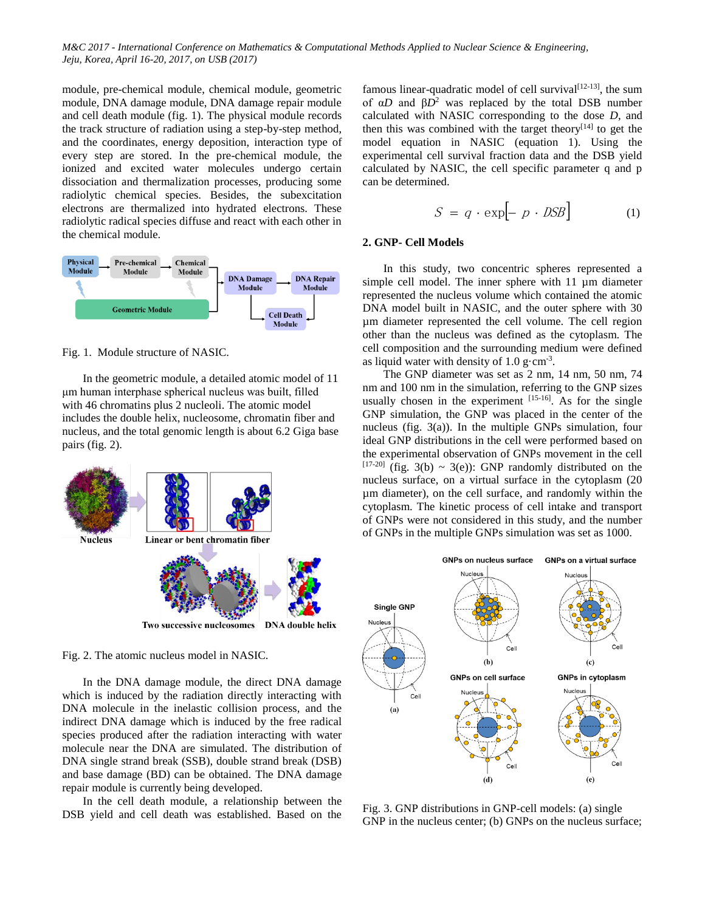module, pre-chemical module, chemical module, geometric module, DNA damage module, DNA damage repair module and cell death module (fig. 1). The physical module records the track structure of radiation using a step-by-step method, and the coordinates, energy deposition, interaction type of every step are stored. In the pre-chemical module, the ionized and excited water molecules undergo certain dissociation and thermalization processes, producing some radiolytic chemical species. Besides, the subexcitation electrons are thermalized into hydrated electrons. These radiolytic radical species diffuse and react with each other in the chemical module.



Fig. 1. Module structure of NASIC.

In the geometric module, a detailed atomic model of 11 μm human interphase spherical nucleus was built, filled with 46 chromatins plus 2 nucleoli. The atomic model includes the double helix, nucleosome, chromatin fiber and nucleus, and the total genomic length is about 6.2 Giga base pairs (fig. 2).





In the DNA damage module, the direct DNA damage which is induced by the radiation directly interacting with DNA molecule in the inelastic collision process, and the indirect DNA damage which is induced by the free radical species produced after the radiation interacting with water molecule near the DNA are simulated. The distribution of DNA single strand break (SSB), double strand break (DSB) and base damage (BD) can be obtained. The DNA damage repair module is currently being developed.

In the cell death module, a relationship between the DSB yield and cell death was established. Based on the

famous linear-quadratic model of cell survival $[12-13]$ , the sum of α*D* and β*D*<sup>2</sup> was replaced by the total DSB number calculated with NASIC corresponding to the dose *D*, and then this was combined with the target theory $[14]$  to get the model equation in NASIC (equation 1). Using the experimental cell survival fraction data and the DSB yield calculated by NASIC, the cell specific parameter q and p can be determined.

$$
S = q \cdot \exp[-p \cdot \text{DSB}] \tag{1}
$$

### **2. GNP- Cell Models**

In this study, two concentric spheres represented a simple cell model. The inner sphere with 11 µm diameter represented the nucleus volume which contained the atomic DNA model built in NASIC, and the outer sphere with 30 µm diameter represented the cell volume. The cell region other than the nucleus was defined as the cytoplasm. The cell composition and the surrounding medium were defined as liquid water with density of  $1.0 \text{ g cm}^{-3}$ .

The GNP diameter was set as 2 nm, 14 nm, 50 nm, 74 nm and 100 nm in the simulation, referring to the GNP sizes usually chosen in the experiment  $^{[15-16]}$ . As for the single GNP simulation, the GNP was placed in the center of the nucleus (fig. 3(a)). In the multiple GNPs simulation, four ideal GNP distributions in the cell were performed based on the experimental observation of GNPs movement in the cell  $[17-20]$  (fig. 3(b) ~ 3(e)): GNP randomly distributed on the nucleus surface, on a virtual surface in the cytoplasm (20 µm diameter), on the cell surface, and randomly within the cytoplasm. The kinetic process of cell intake and transport of GNPs were not considered in this study, and the number of GNPs in the multiple GNPs simulation was set as 1000.



Fig. 3. GNP distributions in GNP-cell models: (a) single GNP in the nucleus center; (b) GNPs on the nucleus surface;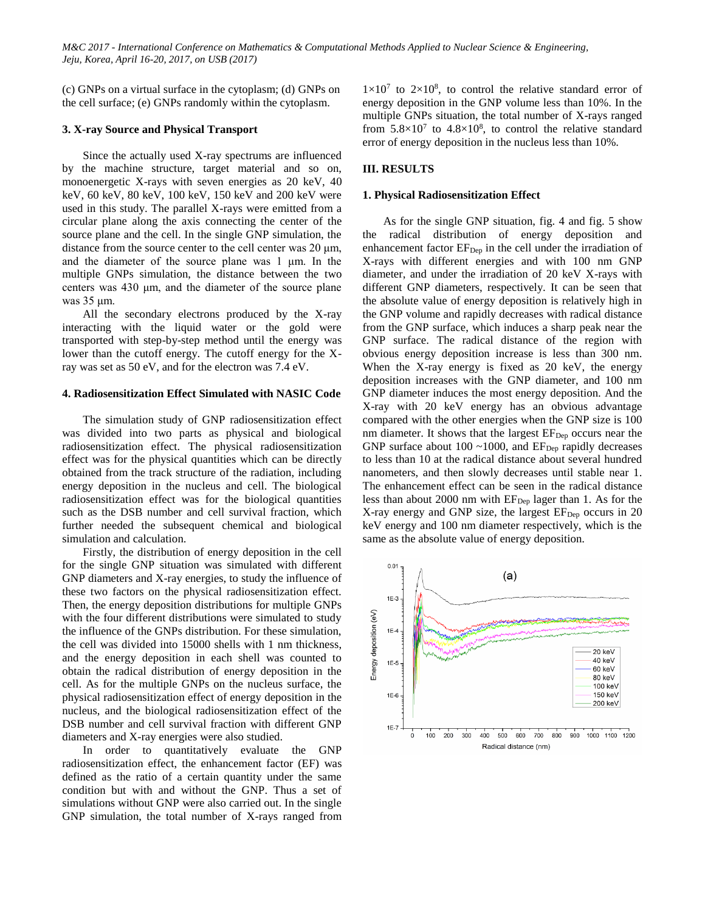(c) GNPs on a virtual surface in the cytoplasm; (d) GNPs on the cell surface; (e) GNPs randomly within the cytoplasm.

## **3. X-ray Source and Physical Transport**

Since the actually used X-ray spectrums are influenced by the machine structure, target material and so on, monoenergetic X-rays with seven energies as 20 keV, 40 keV, 60 keV, 80 keV, 100 keV, 150 keV and 200 keV were used in this study. The parallel X-rays were emitted from a circular plane along the axis connecting the center of the source plane and the cell. In the single GNP simulation, the distance from the source center to the cell center was 20 μm, and the diameter of the source plane was 1 μm. In the multiple GNPs simulation, the distance between the two centers was 430 μm, and the diameter of the source plane was 35 μm.

All the secondary electrons produced by the X-ray interacting with the liquid water or the gold were transported with step-by-step method until the energy was lower than the cutoff energy. The cutoff energy for the Xray was set as 50 eV, and for the electron was 7.4 eV.

### **4. Radiosensitization Effect Simulated with NASIC Code**

The simulation study of GNP radiosensitization effect was divided into two parts as physical and biological radiosensitization effect. The physical radiosensitization effect was for the physical quantities which can be directly obtained from the track structure of the radiation, including energy deposition in the nucleus and cell. The biological radiosensitization effect was for the biological quantities such as the DSB number and cell survival fraction, which further needed the subsequent chemical and biological simulation and calculation.

Firstly, the distribution of energy deposition in the cell for the single GNP situation was simulated with different GNP diameters and X-ray energies, to study the influence of these two factors on the physical radiosensitization effect. Then, the energy deposition distributions for multiple GNPs with the four different distributions were simulated to study the influence of the GNPs distribution. For these simulation, the cell was divided into 15000 shells with 1 nm thickness, and the energy deposition in each shell was counted to obtain the radical distribution of energy deposition in the cell. As for the multiple GNPs on the nucleus surface, the physical radiosensitization effect of energy deposition in the nucleus, and the biological radiosensitization effect of the DSB number and cell survival fraction with different GNP diameters and X-ray energies were also studied.

In order to quantitatively evaluate the GNP radiosensitization effect, the enhancement factor (EF) was defined as the ratio of a certain quantity under the same condition but with and without the GNP. Thus a set of simulations without GNP were also carried out. In the single GNP simulation, the total number of X-rays ranged from

 $1 \times 10^7$  to  $2 \times 10^8$ , to control the relative standard error of energy deposition in the GNP volume less than 10%. In the multiple GNPs situation, the total number of X-rays ranged from  $5.8 \times 10^7$  to  $4.8 \times 10^8$ , to control the relative standard error of energy deposition in the nucleus less than 10%.

## **III. RESULTS**

## **1. Physical Radiosensitization Effect**

As for the single GNP situation, fig. 4 and fig. 5 show the radical distribution of energy deposition and enhancement factor EF<sub>Dep</sub> in the cell under the irradiation of X-rays with different energies and with 100 nm GNP diameter, and under the irradiation of 20 keV X-rays with different GNP diameters, respectively. It can be seen that the absolute value of energy deposition is relatively high in the GNP volume and rapidly decreases with radical distance from the GNP surface, which induces a sharp peak near the GNP surface. The radical distance of the region with obvious energy deposition increase is less than 300 nm. When the X-ray energy is fixed as 20 keV, the energy deposition increases with the GNP diameter, and 100 nm GNP diameter induces the most energy deposition. And the X-ray with 20 keV energy has an obvious advantage compared with the other energies when the GNP size is 100 nm diameter. It shows that the largest  $EF<sub>Dep</sub>$  occurs near the GNP surface about 100  $\sim$ 1000, and EF<sub>Dep</sub> rapidly decreases to less than 10 at the radical distance about several hundred nanometers, and then slowly decreases until stable near 1. The enhancement effect can be seen in the radical distance less than about 2000 nm with  $EF_{Dep}$  lager than 1. As for the X-ray energy and GNP size, the largest  $EF<sub>Dep</sub>$  occurs in 20 keV energy and 100 nm diameter respectively, which is the same as the absolute value of energy deposition.

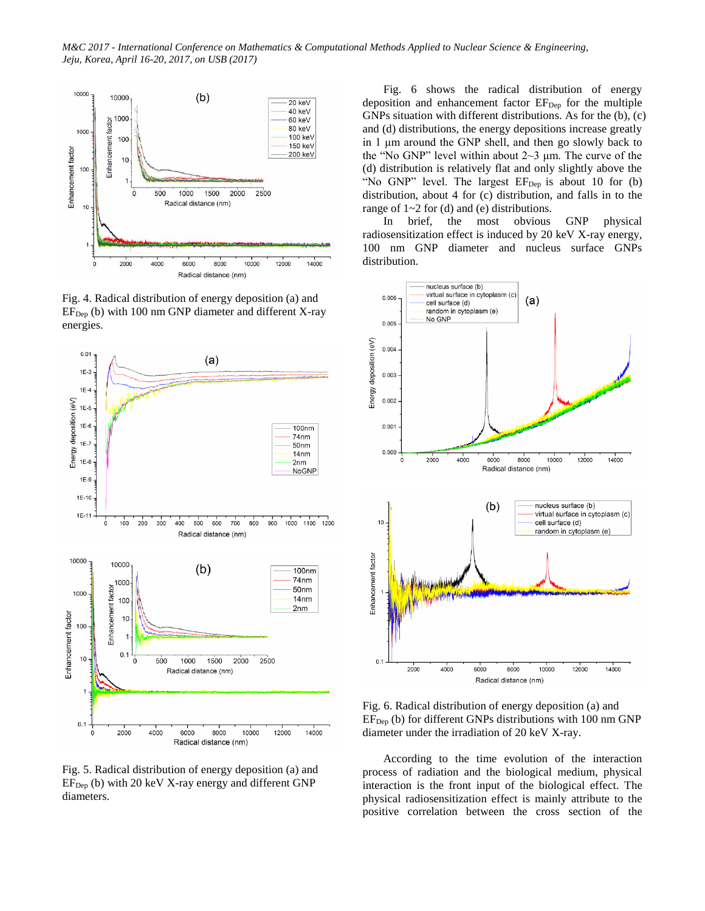

Fig. 4. Radical distribution of energy deposition (a) and  $EF<sub>Dep</sub>$  (b) with 100 nm GNP diameter and different X-ray energies.



Fig. 5. Radical distribution of energy deposition (a) and  $EF<sub>Dep</sub>$  (b) with 20 keV X-ray energy and different GNP diameters.

Fig. 6 shows the radical distribution of energy deposition and enhancement factor  $EF_{Dep}$  for the multiple GNPs situation with different distributions. As for the (b), (c) and (d) distributions, the energy depositions increase greatly in 1 μm around the GNP shell, and then go slowly back to the "No GNP" level within about  $2~3$  μm. The curve of the (d) distribution is relatively flat and only slightly above the "No GNP" level. The largest  $EF_{Dep}$  is about 10 for (b) distribution, about 4 for (c) distribution, and falls in to the range of 1~2 for (d) and (e) distributions.

In brief, the most obvious GNP physical radiosensitization effect is induced by 20 keV X-ray energy, 100 nm GNP diameter and nucleus surface GNPs distribution.



Fig. 6. Radical distribution of energy deposition (a) and  $EF_{Dep}$  (b) for different GNPs distributions with 100 nm GNP diameter under the irradiation of 20 keV X-ray.

According to the time evolution of the interaction process of radiation and the biological medium, physical interaction is the front input of the biological effect. The physical radiosensitization effect is mainly attribute to the positive correlation between the cross section of the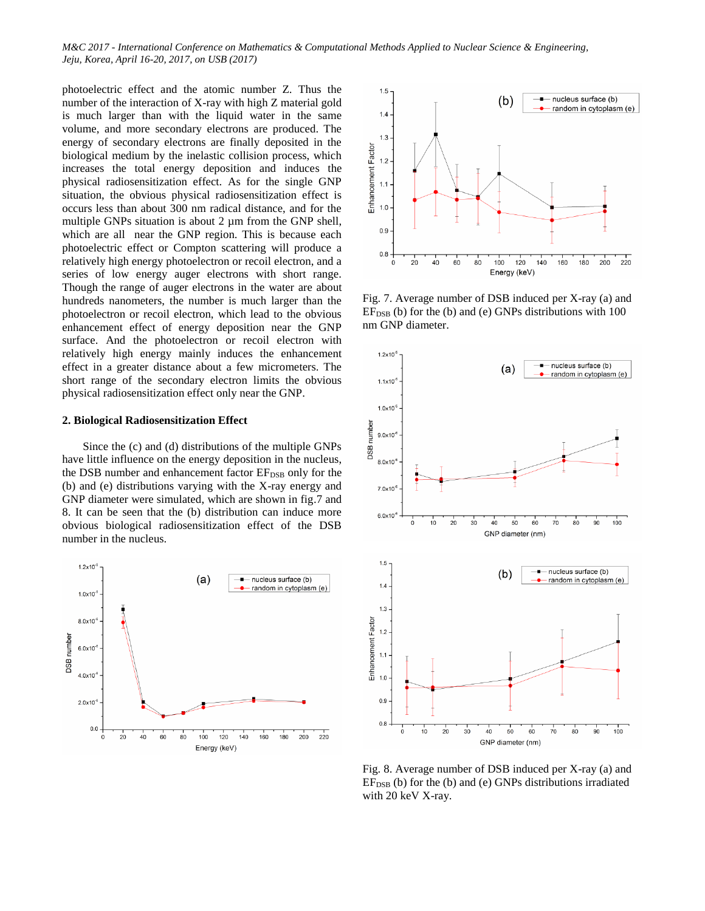photoelectric effect and the atomic number Z. Thus the number of the interaction of X-ray with high Z material gold is much larger than with the liquid water in the same volume, and more secondary electrons are produced. The energy of secondary electrons are finally deposited in the biological medium by the inelastic collision process, which increases the total energy deposition and induces the physical radiosensitization effect. As for the single GNP situation, the obvious physical radiosensitization effect is occurs less than about 300 nm radical distance, and for the multiple GNPs situation is about 2 µm from the GNP shell, which are all near the GNP region. This is because each photoelectric effect or Compton scattering will produce a relatively high energy photoelectron or recoil electron, and a series of low energy auger electrons with short range. Though the range of auger electrons in the water are about hundreds nanometers, the number is much larger than the photoelectron or recoil electron, which lead to the obvious enhancement effect of energy deposition near the GNP surface. And the photoelectron or recoil electron with relatively high energy mainly induces the enhancement effect in a greater distance about a few micrometers. The short range of the secondary electron limits the obvious physical radiosensitization effect only near the GNP.

## **2. Biological Radiosensitization Effect**

Since the (c) and (d) distributions of the multiple GNPs have little influence on the energy deposition in the nucleus, the DSB number and enhancement factor EF<sub>DSB</sub> only for the (b) and (e) distributions varying with the X-ray energy and GNP diameter were simulated, which are shown in fig.7 and 8. It can be seen that the (b) distribution can induce more obvious biological radiosensitization effect of the DSB number in the nucleus.





Fig. 7. Average number of DSB induced per X-ray (a) and  $EF<sub>DSB</sub>$  (b) for the (b) and (e) GNPs distributions with 100 nm GNP diameter.



Fig. 8. Average number of DSB induced per X-ray (a) and  $EF<sub>DSB</sub>$  (b) for the (b) and (e) GNPs distributions irradiated with 20 keV X-ray.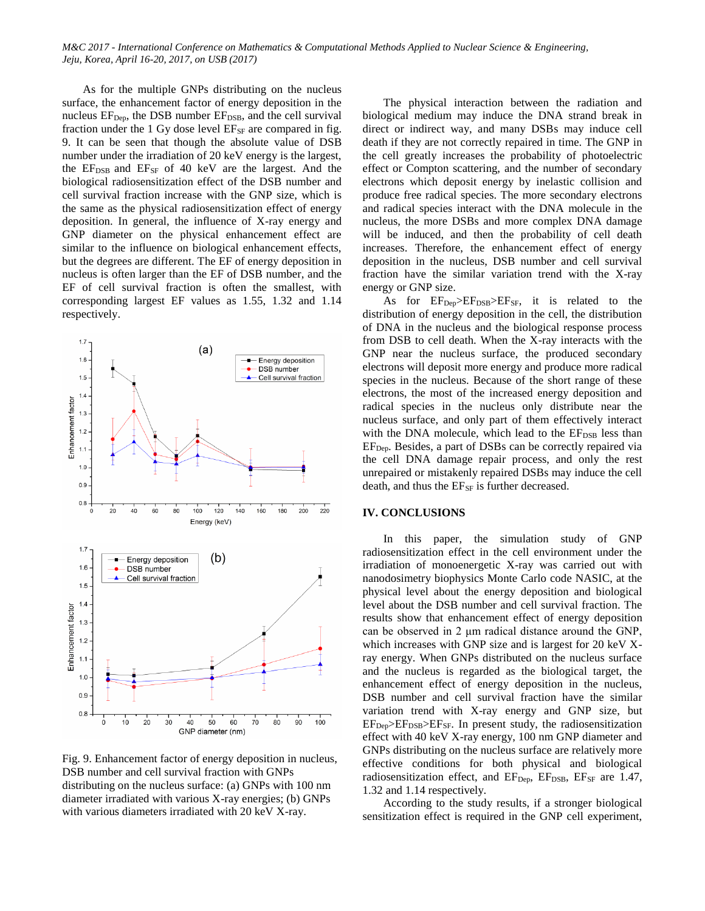As for the multiple GNPs distributing on the nucleus surface, the enhancement factor of energy deposition in the nucleus  $EF_{Dep}$ , the DSB number  $EF_{DSB}$ , and the cell survival fraction under the 1 Gy dose level  $E_{SF}$  are compared in fig. 9. It can be seen that though the absolute value of DSB number under the irradiation of 20 keV energy is the largest, the  $EF_{\text{DSB}}$  and  $EF_{\text{SF}}$  of 40 keV are the largest. And the biological radiosensitization effect of the DSB number and cell survival fraction increase with the GNP size, which is the same as the physical radiosensitization effect of energy deposition. In general, the influence of X-ray energy and GNP diameter on the physical enhancement effect are similar to the influence on biological enhancement effects, but the degrees are different. The EF of energy deposition in nucleus is often larger than the EF of DSB number, and the EF of cell survival fraction is often the smallest, with corresponding largest EF values as 1.55, 1.32 and 1.14 respectively.



Fig. 9. Enhancement factor of energy deposition in nucleus, DSB number and cell survival fraction with GNPs distributing on the nucleus surface: (a) GNPs with 100 nm diameter irradiated with various X-ray energies; (b) GNPs with various diameters irradiated with 20 keV X-ray.

The physical interaction between the radiation and biological medium may induce the DNA strand break in direct or indirect way, and many DSBs may induce cell death if they are not correctly repaired in time. The GNP in the cell greatly increases the probability of photoelectric effect or Compton scattering, and the number of secondary electrons which deposit energy by inelastic collision and produce free radical species. The more secondary electrons and radical species interact with the DNA molecule in the nucleus, the more DSBs and more complex DNA damage will be induced, and then the probability of cell death increases. Therefore, the enhancement effect of energy deposition in the nucleus, DSB number and cell survival fraction have the similar variation trend with the X-ray energy or GNP size.

As for  $EF_{\text{Dep}}\geq EF_{\text{DSB}}\geq EF_{\text{SF}}$ , it is related to the distribution of energy deposition in the cell, the distribution of DNA in the nucleus and the biological response process from DSB to cell death. When the X-ray interacts with the GNP near the nucleus surface, the produced secondary electrons will deposit more energy and produce more radical species in the nucleus. Because of the short range of these electrons, the most of the increased energy deposition and radical species in the nucleus only distribute near the nucleus surface, and only part of them effectively interact with the DNA molecule, which lead to the EF<sub>DSB</sub> less than EFDep. Besides, a part of DSBs can be correctly repaired via the cell DNA damage repair process, and only the rest unrepaired or mistakenly repaired DSBs may induce the cell death, and thus the  $E_{SF}$  is further decreased.

## **IV. CONCLUSIONS**

In this paper, the simulation study of GNP radiosensitization effect in the cell environment under the irradiation of monoenergetic X-ray was carried out with nanodosimetry biophysics Monte Carlo code NASIC, at the physical level about the energy deposition and biological level about the DSB number and cell survival fraction. The results show that enhancement effect of energy deposition can be observed in 2 μm radical distance around the GNP, which increases with GNP size and is largest for 20 keV Xray energy. When GNPs distributed on the nucleus surface and the nucleus is regarded as the biological target, the enhancement effect of energy deposition in the nucleus, DSB number and cell survival fraction have the similar variation trend with X-ray energy and GNP size, but  $EF_{\text{Dep}}\geq EF_{\text{DSB}}\geq EF_{\text{SF}}$ . In present study, the radiosensitization effect with 40 keV X-ray energy, 100 nm GNP diameter and GNPs distributing on the nucleus surface are relatively more effective conditions for both physical and biological radiosensitization effect, and  $EF_{\text{Dep}}$ ,  $EF_{\text{DSB}}$ ,  $EF_{\text{SF}}$  are 1.47, 1.32 and 1.14 respectively.

According to the study results, if a stronger biological sensitization effect is required in the GNP cell experiment,